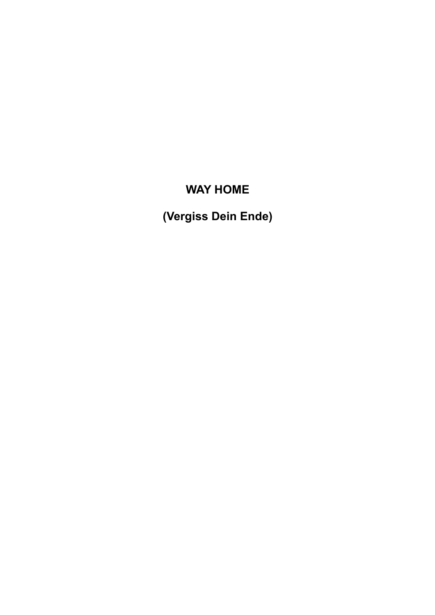# **WAY HOME**

**(Vergiss Dein Ende)**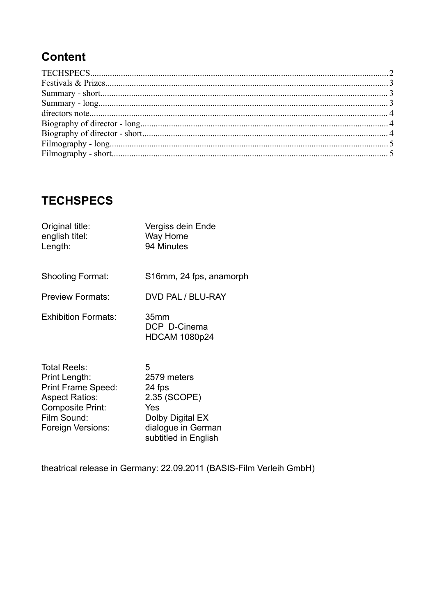## **Content**

## **TECHSPECS**

| Original title:<br>english titel:<br>Length:                                       | Vergiss dein Ende<br>Way Home<br>94 Minutes              |
|------------------------------------------------------------------------------------|----------------------------------------------------------|
| <b>Shooting Format:</b>                                                            | S16mm, 24 fps, anamorph                                  |
| <b>Preview Formats:</b>                                                            | DVD PAL / BLU-RAY                                        |
| <b>Exhibition Formats:</b>                                                         | 35 <sub>mm</sub><br>DCP D-Cinema<br><b>HDCAM 1080p24</b> |
| <b>Total Reels:</b><br>Print Length:<br><b>Print Frame Speed:</b><br>Acnoct Potios | 5<br>2579 meters<br>24 fps<br>$2.35$ (SCODE)             |

Aspect Ratios: 2.35 (SCOPE)<br>Composite Print: Yes Composite Print: Film Sound: Dolby Digital EX<br>
Foreign Versions: dialogue in Germ Foreign Versions: dialogue in German subtitled in English

theatrical release in Germany: 22.09.2011 (BASIS-Film Verleih GmbH)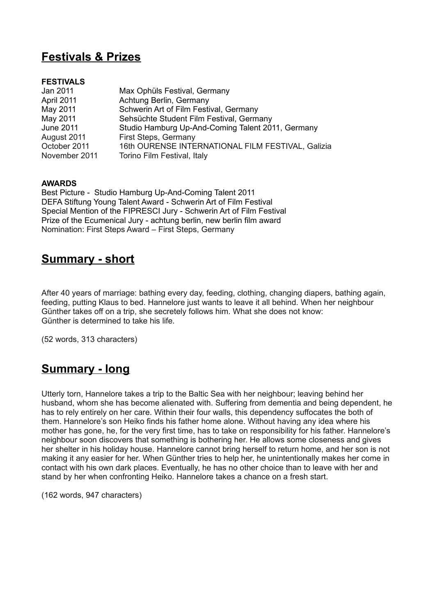## **Festivals & Prizes**

#### **FESTIVALS**

| Jan 2011         | Max Ophüls Festival, Germany                      |
|------------------|---------------------------------------------------|
| April 2011       | Achtung Berlin, Germany                           |
| May 2011         | Schwerin Art of Film Festival, Germany            |
| May 2011         | Sehsüchte Student Film Festival, Germany          |
| <b>June 2011</b> | Studio Hamburg Up-And-Coming Talent 2011, Germany |
| August 2011      | First Steps, Germany                              |
| October 2011     | 16th OURENSE INTERNATIONAL FILM FESTIVAL, Galizia |
| November 2011    | Torino Film Festival, Italy                       |

#### **AWARDS**

Best Picture - Studio Hamburg Up-And-Coming Talent 2011 DEFA Stiftung Young Talent Award - Schwerin Art of Film Festival Special Mention of the FIPRESCI Jury - Schwerin Art of Film Festival Prize of the Ecumenical Jury - achtung berlin, new berlin film award Nomination: First Steps Award – First Steps, Germany

#### **Summary - short**

After 40 years of marriage: bathing every day, feeding, clothing, changing diapers, bathing again, feeding, putting Klaus to bed. Hannelore just wants to leave it all behind. When her neighbour Günther takes off on a trip, she secretely follows him. What she does not know: Günther is determined to take his life.

(52 words, 313 characters)

### **Summary - long**

Utterly torn, Hannelore takes a trip to the Baltic Sea with her neighbour; leaving behind her husband, whom she has become alienated with. Suffering from dementia and being dependent, he has to rely entirely on her care. Within their four walls, this dependency suffocates the both of them. Hannelore's son Heiko finds his father home alone. Without having any idea where his mother has gone, he, for the very first time, has to take on responsibility for his father. Hannelore's neighbour soon discovers that something is bothering her. He allows some closeness and gives her shelter in his holiday house. Hannelore cannot bring herself to return home, and her son is not making it any easier for her. When Günther tries to help her, he unintentionally makes her come in contact with his own dark places. Eventually, he has no other choice than to leave with her and stand by her when confronting Heiko. Hannelore takes a chance on a fresh start.

(162 words, 947 characters)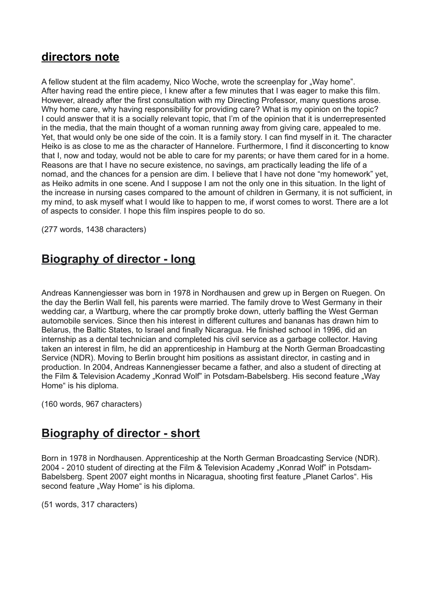#### **directors note**

A fellow student at the film academy, Nico Woche, wrote the screenplay for "Way home". After having read the entire piece, I knew after a few minutes that I was eager to make this film. However, already after the first consultation with my Directing Professor, many questions arose. Why home care, why having responsibility for providing care? What is my opinion on the topic? I could answer that it is a socially relevant topic, that I'm of the opinion that it is underrepresented in the media, that the main thought of a woman running away from giving care, appealed to me. Yet, that would only be one side of the coin. It is a family story. I can find myself in it. The character Heiko is as close to me as the character of Hannelore. Furthermore, I find it disconcerting to know that I, now and today, would not be able to care for my parents; or have them cared for in a home. Reasons are that I have no secure existence, no savings, am practically leading the life of a nomad, and the chances for a pension are dim. I believe that I have not done "my homework" yet, as Heiko admits in one scene. And I suppose I am not the only one in this situation. In the light of the increase in nursing cases compared to the amount of children in Germany, it is not sufficient, in my mind, to ask myself what I would like to happen to me, if worst comes to worst. There are a lot of aspects to consider. I hope this film inspires people to do so.

(277 words, 1438 characters)

#### **Biography of director - long**

Andreas Kannengiesser was born in 1978 in Nordhausen and grew up in Bergen on Ruegen. On the day the Berlin Wall fell, his parents were married. The family drove to West Germany in their wedding car, a Wartburg, where the car promptly broke down, utterly baffling the West German automobile services. Since then his interest in different cultures and bananas has drawn him to Belarus, the Baltic States, to Israel and finally Nicaragua. He finished school in 1996, did an internship as a dental technician and completed his civil service as a garbage collector. Having taken an interest in film, he did an apprenticeship in Hamburg at the North German Broadcasting Service (NDR). Moving to Berlin brought him positions as assistant director, in casting and in production. In 2004, Andreas Kannengiesser became a father, and also a student of directing at the Film & Television Academy "Konrad Wolf" in Potsdam-Babelsberg. His second feature "Way Home" is his diploma.

(160 words, 967 characters)

### **Biography of director - short**

Born in 1978 in Nordhausen. Apprenticeship at the North German Broadcasting Service (NDR). 2004 - 2010 student of directing at the Film & Television Academy "Konrad Wolf" in Potsdam-Babelsberg. Spent 2007 eight months in Nicaragua, shooting first feature "Planet Carlos". His second feature "Way Home" is his diploma.

(51 words, 317 characters)